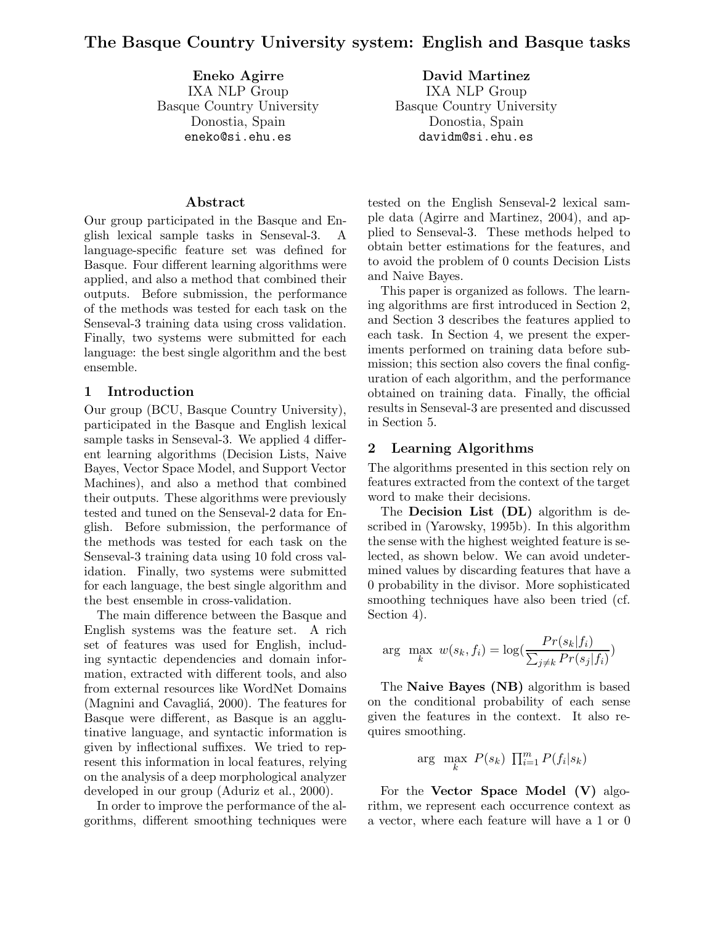**Eneko Agirre** IXA NLP Group Basque Country University Donostia, Spain eneko@si.ehu.es

**David Martinez** IXA NLP Group Basque Country University Donostia, Spain davidm@si.ehu.es

### **Abstract**

Our group participated in the Basque and English lexical sample tasks in Senseval-3. A language-specific feature set was defined for Basque. Four different learning algorithms were applied, and also a method that combined their outputs. Before submission, the performance of the methods was tested for each task on the Senseval-3 training data using cross validation. Finally, two systems were submitted for each language: the best single algorithm and the best ensemble.

### **1 Introduction**

Our group (BCU, Basque Country University), participated in the Basque and English lexical sample tasks in Senseval-3. We applied 4 different learning algorithms (Decision Lists, Naive Bayes, Vector Space Model, and Support Vector Machines), and also a method that combined their outputs. These algorithms were previously tested and tuned on the Senseval-2 data for English. Before submission, the performance of the methods was tested for each task on the Senseval-3 training data using 10 fold cross validation. Finally, two systems were submitted for each language, the best single algorithm and the best ensemble in cross-validation.

The main difference between the Basque and English systems was the feature set. A rich set of features was used for English, including syntactic dependencies and domain information, extracted with different tools, and also from external resources like WordNet Domains (Magnini and Cavagliá, 2000). The features for Basque were different, as Basque is an agglutinative language, and syntactic information is given by inflectional suffixes. We tried to represent this information in local features, relying on the analysis of a deep morphological analyzer developed in our group (Aduriz et al., 2000).

In order to improve the performance of the algorithms, different smoothing techniques were

tested on the English Senseval-2 lexical sample data (Agirre and Martinez, 2004), and applied to Senseval-3. These methods helped to obtain better estimations for the features, and to avoid the problem of 0 counts Decision Lists and Naive Bayes.

This paper is organized as follows. The learning algorithms are first introduced in Section 2, and Section 3 describes the features applied to each task. In Section 4, we present the experiments performed on training data before submission; this section also covers the final configuration of each algorithm, and the performance obtained on training data. Finally, the official results in Senseval-3 are presented and discussed in Section 5.

### **2 Learning Algorithms**

The algorithms presented in this section rely on features extracted from the context of the target word to make their decisions.

The **Decision List (DL)** algorithm is described in (Yarowsky, 1995b). In this algorithm the sense with the highest weighted feature is selected, as shown below. We can avoid undetermined values by discarding features that have a 0 probability in the divisor. More sophisticated smoothing techniques have also been tried (cf. Section 4).

$$
\arg \max_{k} w(s_k, f_i) = \log(\frac{Pr(s_k|f_i)}{\sum_{j \neq k} Pr(s_j|f_i)})
$$

The **Naive Bayes (NB)** algorithm is based on the conditional probability of each sense given the features in the context. It also requires smoothing.

$$
\arg \max_{k} P(s_k) \prod_{i=1}^{m} P(f_i|s_k)
$$

For the **Vector Space Model (V)** algorithm, we represent each occurrence context as a vector, where each feature will have a 1 or 0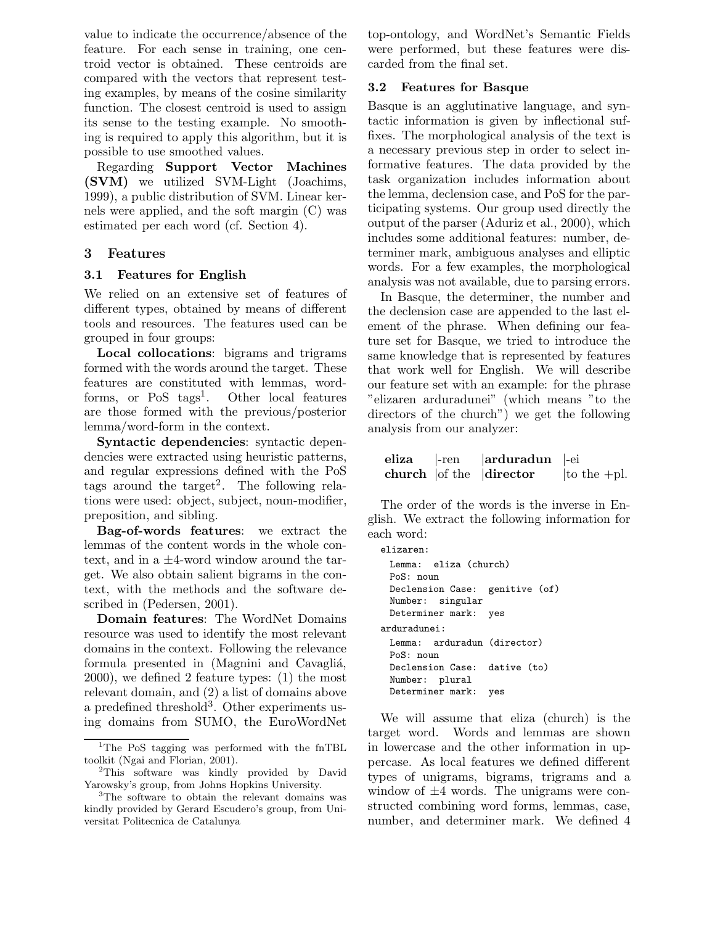value to indicate the occurrence/absence of the feature. For each sense in training, one centroid vector is obtained. These centroids are compared with the vectors that represent testing examples, by means of the cosine similarity function. The closest centroid is used to assign its sense to the testing example. No smoothing is required to apply this algorithm, but it is possible to use smoothed values.

Regarding **Support Vector Machines (SVM)** we utilized SVM-Light (Joachims, 1999), a public distribution of SVM. Linear kernels were applied, and the soft margin (C) was estimated per each word (cf. Section 4).

# **3 Features**

# **3.1 Features for English**

We relied on an extensive set of features of different types, obtained by means of different tools and resources. The features used can be grouped in four groups:

**Local collocations**: bigrams and trigrams formed with the words around the target. These features are constituted with lemmas, wordforms, or  $PoS$  tags<sup>1</sup>. Other local features are those formed with the previous/posterior lemma/word-form in the context.

**Syntactic dependencies**: syntactic dependencies were extracted using heuristic patterns, and regular expressions defined with the PoS tags around the target<sup>2</sup>. The following relations were used: object, subject, noun-modifier, preposition, and sibling.

**Bag-of-words features**: we extract the lemmas of the content words in the whole context, and in a *±*4-word window around the target. We also obtain salient bigrams in the context, with the methods and the software described in (Pedersen, 2001).

**Domain features**: The WordNet Domains resource was used to identify the most relevant domains in the context. Following the relevance formula presented in (Magnini and Cavagliá, 2000), we defined 2 feature types: (1) the most relevant domain, and (2) a list of domains above a predefined threshold<sup>3</sup>. Other experiments using domains from SUMO, the EuroWordNet top-ontology, and WordNet's Semantic Fields were performed, but these features were discarded from the final set.

# **3.2 Features for Basque**

Basque is an agglutinative language, and syntactic information is given by inflectional suffixes. The morphological analysis of the text is a necessary previous step in order to select informative features. The data provided by the task organization includes information about the lemma, declension case, and PoS for the participating systems. Our group used directly the output of the parser (Aduriz et al., 2000), which includes some additional features: number, determiner mark, ambiguous analyses and elliptic words. For a few examples, the morphological analysis was not available, due to parsing errors.

In Basque, the determiner, the number and the declension case are appended to the last element of the phrase. When defining our feature set for Basque, we tried to introduce the same knowledge that is represented by features that work well for English. We will describe our feature set with an example: for the phrase "elizaren arduradunei" (which means "to the directors of the church") we get the following analysis from our analyzer:

|  | eliza  -ren   arduradun  -ei                                             |  |
|--|--------------------------------------------------------------------------|--|
|  | <b>church</b> $\vert$ of the $\vert$ <b>director</b> $\vert$ to the +pl. |  |

The order of the words is the inverse in English. We extract the following information for each word:

```
elizaren:
```

```
Lemma: eliza (church)
 PoS: noun
 Declension Case: genitive (of)
 Number: singular
 Determiner mark: yes
arduradunei:
 Lemma: arduradun (director)
 PoS: noun
 Declension Case: dative (to)
 Number: plural
 Determiner mark: yes
```
We will assume that eliza (church) is the target word. Words and lemmas are shown in lowercase and the other information in uppercase. As local features we defined different types of unigrams, bigrams, trigrams and a window of *±*4 words. The unigrams were constructed combining word forms, lemmas, case, number, and determiner mark. We defined 4

<sup>&</sup>lt;sup>1</sup>The PoS tagging was performed with the fnTBL toolkit (Ngai and Florian, 2001).

<sup>&</sup>lt;sup>2</sup>This software was kindly provided by David Yarowsky's group, from Johns Hopkins University.

<sup>3</sup>The software to obtain the relevant domains was kindly provided by Gerard Escudero's group, from Universitat Politecnica de Catalunya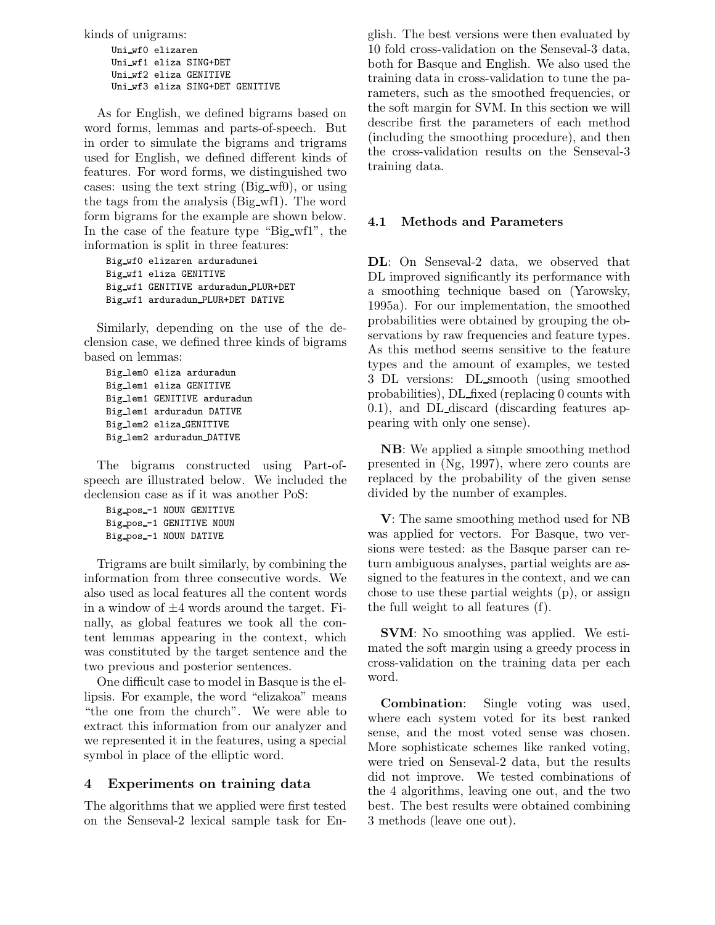kinds of unigrams:

Uni wf0 elizaren Uni wf1 eliza SING+DET Uni wf2 eliza GENITIVE Uni wf3 eliza SING+DET GENITIVE

As for English, we defined bigrams based on word forms, lemmas and parts-of-speech. But in order to simulate the bigrams and trigrams used for English, we defined different kinds of features. For word forms, we distinguished two cases: using the text string (Big wf0), or using the tags from the analysis (Big wf1). The word form bigrams for the example are shown below. In the case of the feature type "Big wf1", the information is split in three features:

```
Big wf0 elizaren arduradunei
Big wf1 eliza GENITIVE
Big wf1 GENITIVE arduradun PLUR+DET
Big wf1 arduradun PLUR+DET DATIVE
```
Similarly, depending on the use of the declension case, we defined three kinds of bigrams based on lemmas:

```
Big lem0 eliza arduradun
Big lem1 eliza GENITIVE
Big lem1 GENITIVE arduradun
Big lem1 arduradun DATIVE
Big lem2 eliza GENITIVE
Big lem2 arduradun DATIVE
```
The bigrams constructed using Part-ofspeech are illustrated below. We included the declension case as if it was another PoS:

Big pos -1 NOUN GENITIVE Big pos -1 GENITIVE NOUN Big pos -1 NOUN DATIVE

Trigrams are built similarly, by combining the information from three consecutive words. We also used as local features all the content words in a window of *±*4 words around the target. Finally, as global features we took all the content lemmas appearing in the context, which was constituted by the target sentence and the two previous and posterior sentences.

One difficult case to model in Basque is the ellipsis. For example, the word "elizakoa" means "the one from the church". We were able to extract this information from our analyzer and we represented it in the features, using a special symbol in place of the elliptic word.

# **4 Experiments on training data**

The algorithms that we applied were first tested on the Senseval-2 lexical sample task for English. The best versions were then evaluated by 10 fold cross-validation on the Senseval-3 data, both for Basque and English. We also used the training data in cross-validation to tune the parameters, such as the smoothed frequencies, or the soft margin for SVM. In this section we will describe first the parameters of each method (including the smoothing procedure), and then the cross-validation results on the Senseval-3 training data.

# **4.1 Methods and Parameters**

**DL**: On Senseval-2 data, we observed that DL improved significantly its performance with a smoothing technique based on (Yarowsky, 1995a). For our implementation, the smoothed probabilities were obtained by grouping the observations by raw frequencies and feature types. As this method seems sensitive to the feature types and the amount of examples, we tested 3 DL versions: DL smooth (using smoothed probabilities), DL fixed (replacing 0 counts with 0.1), and DL discard (discarding features appearing with only one sense).

**NB**: We applied a simple smoothing method presented in (Ng, 1997), where zero counts are replaced by the probability of the given sense divided by the number of examples.

**V**: The same smoothing method used for NB was applied for vectors. For Basque, two versions were tested: as the Basque parser can return ambiguous analyses, partial weights are assigned to the features in the context, and we can chose to use these partial weights (p), or assign the full weight to all features (f).

**SVM**: No smoothing was applied. We estimated the soft margin using a greedy process in cross-validation on the training data per each word.

**Combination**: Single voting was used, where each system voted for its best ranked sense, and the most voted sense was chosen. More sophisticate schemes like ranked voting, were tried on Senseval-2 data, but the results did not improve. We tested combinations of the 4 algorithms, leaving one out, and the two best. The best results were obtained combining 3 methods (leave one out).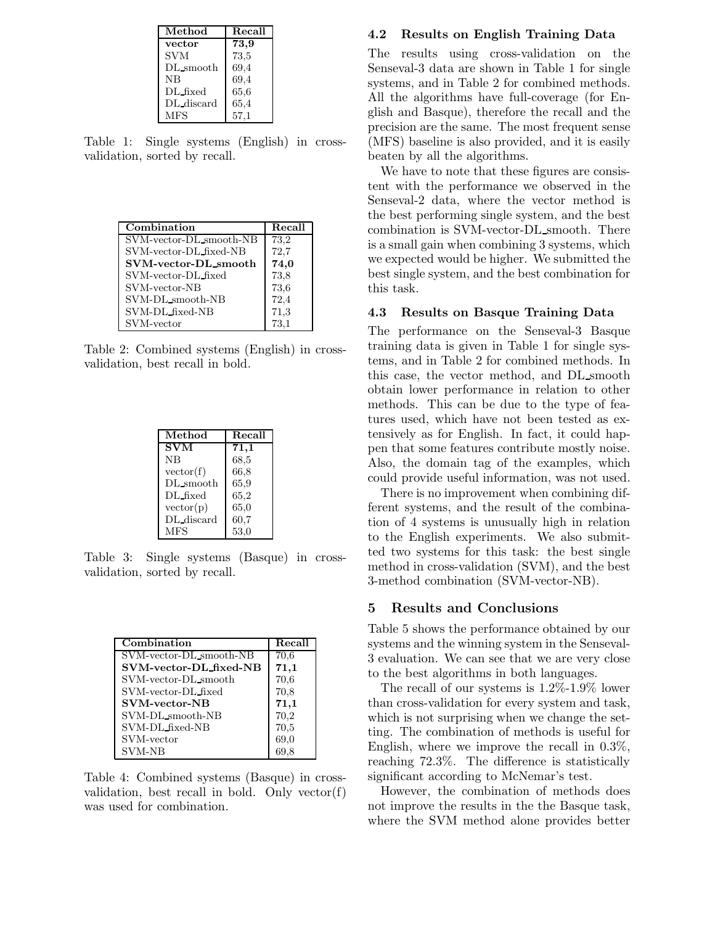| Method      | Recall |
|-------------|--------|
| vector      | 73,9   |
| <b>SVM</b>  | 73,5   |
| $DL$ smooth | 69,4   |
| NB          | 69,4   |
| DL fixed    | 65,6   |
| DL discard  | 65,4   |
| MFS         | 57,1   |
|             |        |

Table 1: Single systems (English) in crossvalidation, sorted by recall.

| Combination             | Recall   |
|-------------------------|----------|
| SVM-vector-DL_smooth-NB | 73,2     |
| SVM-vector-DL_fixed-NB  | 72,7     |
| SVM-vector-DL_smooth    | 74,0     |
| SVM-vector-DL fixed     | 73,8     |
| SVM-vector-NB           | 73,6     |
| SVM-DL_smooth-NB        | 72,4     |
| SVM-DL_fixed-NB         | 71,3     |
| SVM-vector              | $73.1\,$ |

Table 2: Combined systems (English) in crossvalidation, best recall in bold.

| Method     | Recall |
|------------|--------|
| <b>SVM</b> | 71,1   |
| <b>NB</b>  | 68,5   |
| vector(f)  | 66,8   |
| DL_smooth  | 65,9   |
| DL_fixed   | 65,2   |
| vector(p)  | 65,0   |
| DL_discard | 60,7   |
| MFS        | 53,0   |

Table 3: Single systems (Basque) in crossvalidation, sorted by recall.

| Combination             | Recall |
|-------------------------|--------|
| SVM-vector-DL_smooth-NB | 70,6   |
| SVM-vector-DL_fixed-NB  | 71,1   |
| SVM-vector-DL_smooth    | 70,6   |
| SVM-vector-DL-fixed     | 70,8   |
| <b>SVM-vector-NB</b>    | 71,1   |
| SVM-DL_smooth-NB        | 70,2   |
| SVM-DL_fixed-NB         | 70,5   |
| SVM-vector              | 69,0   |
| <b>SVM-NB</b>           |        |

Table 4: Combined systems (Basque) in crossvalidation, best recall in bold. Only vector(f) was used for combination.

#### **4.2 Results on English Training Data**

The results using cross-validation on the Senseval-3 data are shown in Table 1 for single systems, and in Table 2 for combined methods. All the algorithms have full-coverage (for English and Basque), therefore the recall and the precision are the same. The most frequent sense (MFS) baseline is also provided, and it is easily beaten by all the algorithms.

We have to note that these figures are consistent with the performance we observed in the Senseval-2 data, where the vector method is the best performing single system, and the best combination is SVM-vector-DL smooth. There is a small gain when combining 3 systems, which we expected would be higher. We submitted the best single system, and the best combination for this task.

#### **4.3 Results on Basque Training Data**

The performance on the Senseval-3 Basque training data is given in Table 1 for single systems, and in Table 2 for combined methods. In this case, the vector method, and DL smooth obtain lower performance in relation to other methods. This can be due to the type of features used, which have not been tested as extensively as for English. In fact, it could happen that some features contribute mostly noise. Also, the domain tag of the examples, which could provide useful information, was not used.

There is no improvement when combining different systems, and the result of the combination of 4 systems is unusually high in relation to the English experiments. We also submitted two systems for this task: the best single method in cross-validation (SVM), and the best 3-method combination (SVM-vector-NB).

## **5 Results and Conclusions**

Table 5 shows the performance obtained by our systems and the winning system in the Senseval-3 evaluation. We can see that we are very close to the best algorithms in both languages.

The recall of our systems is 1.2%-1.9% lower than cross-validation for every system and task, which is not surprising when we change the setting. The combination of methods is useful for English, where we improve the recall in 0.3%, reaching 72.3%. The difference is statistically significant according to McNemar's test.

However, the combination of methods does not improve the results in the the Basque task, where the SVM method alone provides better